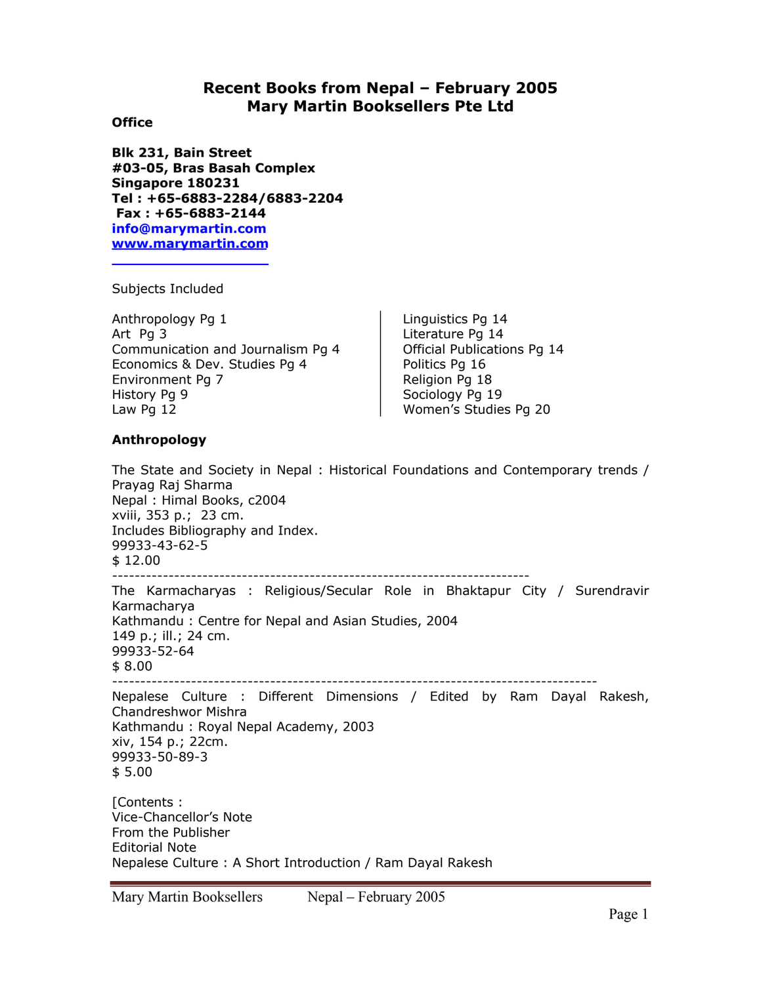# **Recent Books from Nepal – February 2005 Mary Martin Booksellers Pte Ltd**

## **Office**

**Blk 231, Bain Street #03-05, Bras Basah Complex Singapore 180231 Tel : +65-6883-2284/6883-2204 Fax : +65-6883-2144 info@marymartin.com www.marymartin.com**

Subjects Included

Anthropology Pg 1 Art Pg 3 Communication and Journalism Pg 4 Economics & Dev. Studies Pg 4 Environment Pg 7 History Pg 9 Law Pg 12

Linguistics Pg 14 Literature Pg 14 Official Publications Pg 14 Politics Pg 16 Religion Pg 18 Sociology Pg 19 Women's Studies Pg 20

## **Anthropology**

The State and Society in Nepal : Historical Foundations and Contemporary trends / Prayag Raj Sharma Nepal : Himal Books, c2004 xviii, 353 p.; 23 cm. Includes Bibliography and Index. 99933-43-62-5 \$ 12.00 -------------------------------------------------------------------------- The Karmacharyas : Religious/Secular Role in Bhaktapur City / Surendravir Karmacharya Kathmandu : Centre for Nepal and Asian Studies, 2004 149 p.; ill.; 24 cm. 99933-52-64 \$ 8.00 -------------------------------------------------------------------------------------- Nepalese Culture : Different Dimensions / Edited by Ram Dayal Rakesh, Chandreshwor Mishra Kathmandu : Royal Nepal Academy, 2003 xiv, 154 p.; 22cm. 99933-50-89-3 \$ 5.00 [Contents : Vice-Chancellor's Note From the Publisher Editorial Note Nepalese Culture : A Short Introduction / Ram Dayal Rakesh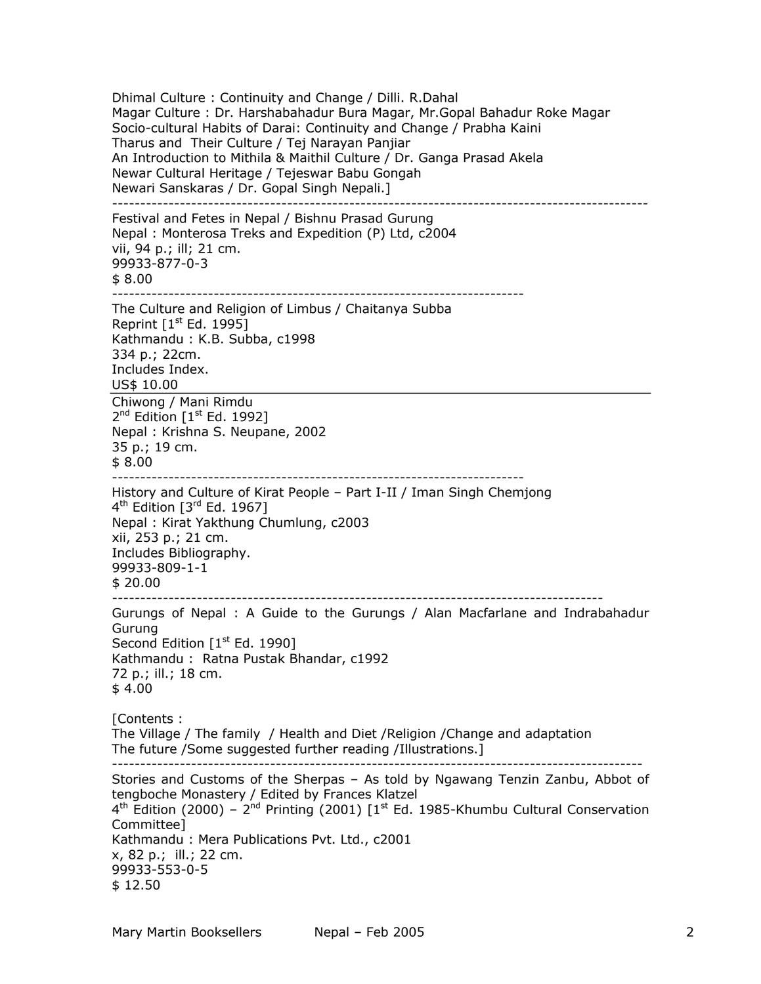Dhimal Culture : Continuity and Change / Dilli. R.Dahal Magar Culture : Dr. Harshabahadur Bura Magar, Mr.Gopal Bahadur Roke Magar Socio-cultural Habits of Darai: Continuity and Change / Prabha Kaini Tharus and Their Culture / Tej Narayan Panjiar An Introduction to Mithila & Maithil Culture / Dr. Ganga Prasad Akela Newar Cultural Heritage / Tejeswar Babu Gongah Newari Sanskaras / Dr. Gopal Singh Nepali.] ----------------------------------------------------------------------------------------------- Festival and Fetes in Nepal / Bishnu Prasad Gurung Nepal : Monterosa Treks and Expedition (P) Ltd, c2004 vii, 94 p.; ill; 21 cm. 99933-877-0-3 \$ 8.00 ------------------------------------------------------------------------- The Culture and Religion of Limbus / Chaitanya Subba Reprint  $[1<sup>st</sup> Ed. 1995]$ Kathmandu : K.B. Subba, c1998 334 p.; 22cm. Includes Index. US\$ 10.00 Chiwong / Mani Rimdu  $2^{nd}$  Edition  $[1^{st}$  Ed. 1992] Nepal : Krishna S. Neupane, 2002 35 p.; 19 cm. \$ 8.00 ------------------------------------------------------------------------- History and Culture of Kirat People – Part I-II / Iman Singh Chemjong  $4<sup>th</sup>$  Edition  $[3<sup>rd</sup>$  Ed. 1967] Nepal : Kirat Yakthung Chumlung, c2003 xii, 253 p.; 21 cm. Includes Bibliography. 99933-809-1-1 \$ 20.00 --------------------------------------------------------------------------------------- Gurungs of Nepal : A Guide to the Gurungs / Alan Macfarlane and Indrabahadur Gurung Second Edition  $[1<sup>st</sup> Ed. 1990]$ Kathmandu : Ratna Pustak Bhandar, c1992 72 p.; ill.; 18 cm. \$ 4.00 [Contents : The Village / The family / Health and Diet /Religion /Change and adaptation The future /Some suggested further reading /Illustrations.] ---------------------------------------------------------------------------------------------- Stories and Customs of the Sherpas – As told by Ngawang Tenzin Zanbu, Abbot of tengboche Monastery / Edited by Frances Klatzel  $4<sup>th</sup>$  Edition (2000) –  $2<sup>nd</sup>$  Printing (2001) [1<sup>st</sup> Ed. 1985-Khumbu Cultural Conservation Committee] Kathmandu : Mera Publications Pvt. Ltd., c2001 x, 82 p.; ill.; 22 cm. 99933-553-0-5 \$ 12.50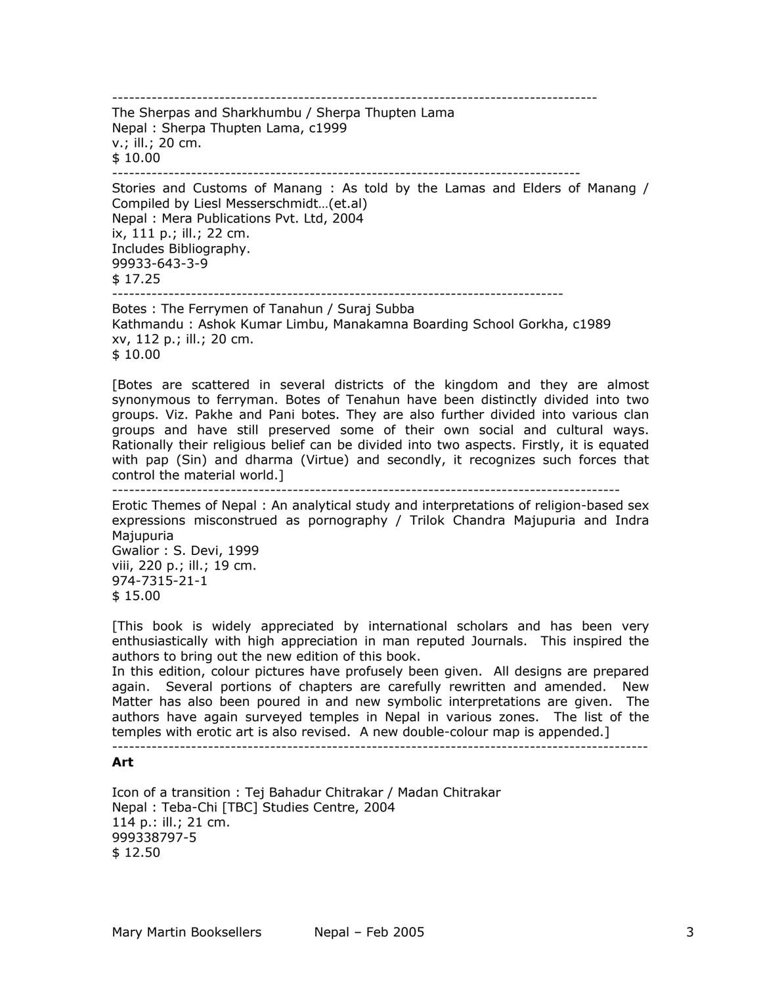-------------------------------------------------------------------------------------- The Sherpas and Sharkhumbu / Sherpa Thupten Lama Nepal : Sherpa Thupten Lama, c1999 v.; ill.; 20 cm. \$ 10.00 ----------------------------------------------------------------------------------- Stories and Customs of Manang : As told by the Lamas and Elders of Manang / Compiled by Liesl Messerschmidt…(et.al) Nepal : Mera Publications Pvt. Ltd, 2004 ix, 111 p.; ill.; 22 cm. Includes Bibliography. 99933-643-3-9 \$ 17.25 -------------------------------------------------------------------------------- Botes : The Ferrymen of Tanahun / Suraj Subba Kathmandu : Ashok Kumar Limbu, Manakamna Boarding School Gorkha, c1989 xv, 112 p.; ill.; 20 cm.

\$ 10.00

[Botes are scattered in several districts of the kingdom and they are almost synonymous to ferryman. Botes of Tenahun have been distinctly divided into two groups. Viz. Pakhe and Pani botes. They are also further divided into various clan groups and have still preserved some of their own social and cultural ways. Rationally their religious belief can be divided into two aspects. Firstly, it is equated with pap (Sin) and dharma (Virtue) and secondly, it recognizes such forces that control the material world.] ------------------------------------------------------------------------------------------

Erotic Themes of Nepal : An analytical study and interpretations of religion-based sex expressions misconstrued as pornography / Trilok Chandra Majupuria and Indra Majupuria Gwalior : S. Devi, 1999

viii, 220 p.; ill.; 19 cm. 974-7315-21-1 \$ 15.00

[This book is widely appreciated by international scholars and has been very enthusiastically with high appreciation in man reputed Journals. This inspired the authors to bring out the new edition of this book.

In this edition, colour pictures have profusely been given. All designs are prepared again. Several portions of chapters are carefully rewritten and amended. New Matter has also been poured in and new symbolic interpretations are given. The authors have again surveyed temples in Nepal in various zones. The list of the temples with erotic art is also revised. A new double-colour map is appended.]

-----------------------------------------------------------------------------------------------

## **Art**

Icon of a transition : Tej Bahadur Chitrakar / Madan Chitrakar Nepal : Teba-Chi [TBC] Studies Centre, 2004 114 p.: ill.; 21 cm. 999338797-5 \$ 12.50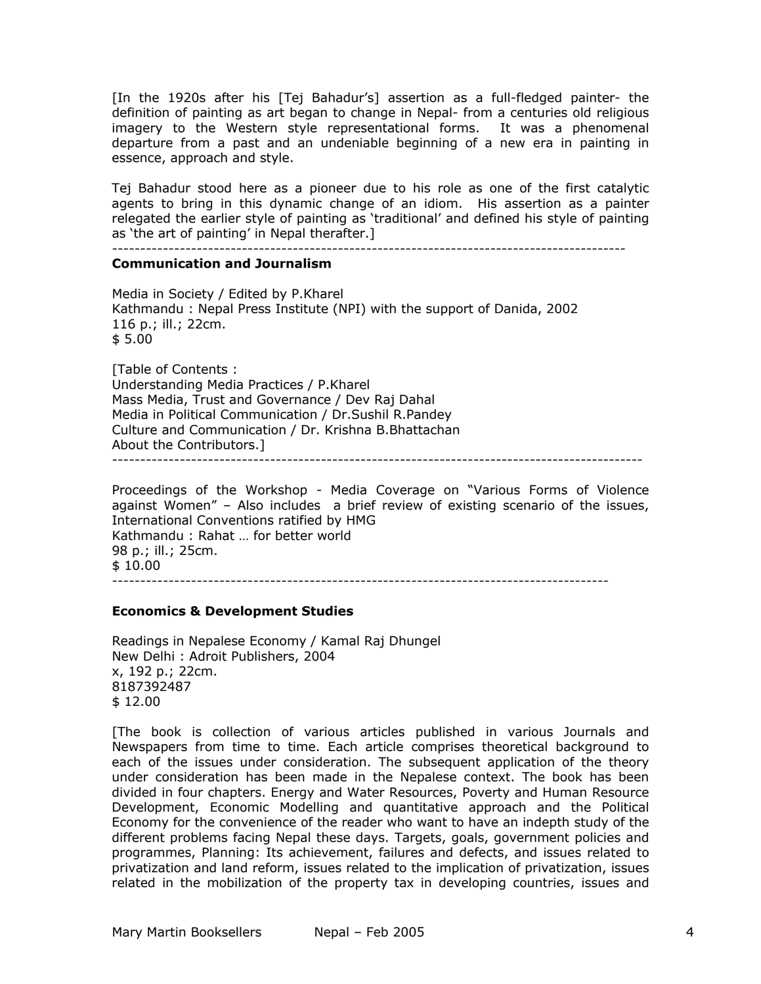[In the 1920s after his [Tej Bahadur's] assertion as a full-fledged painter- the definition of painting as art began to change in Nepal- from a centuries old religious imagery to the Western style representational forms. It was a phenomenal departure from a past and an undeniable beginning of a new era in painting in essence, approach and style.

Tej Bahadur stood here as a pioneer due to his role as one of the first catalytic agents to bring in this dynamic change of an idiom. His assertion as a painter relegated the earlier style of painting as 'traditional' and defined his style of painting as 'the art of painting' in Nepal therafter.]

-------------------------------------------------------------------------------------------

#### **Communication and Journalism**

Media in Society / Edited by P.Kharel Kathmandu : Nepal Press Institute (NPI) with the support of Danida, 2002 116 p.; ill.; 22cm. \$ 5.00

[Table of Contents : Understanding Media Practices / P.Kharel Mass Media, Trust and Governance / Dev Raj Dahal Media in Political Communication / Dr.Sushil R.Pandey Culture and Communication / Dr. Krishna B.Bhattachan About the Contributors.] ----------------------------------------------------------------------------------------------

Proceedings of the Workshop - Media Coverage on "Various Forms of Violence against Women" – Also includes a brief review of existing scenario of the issues, International Conventions ratified by HMG Kathmandu : Rahat … for better world 98 p.; ill.; 25cm. \$ 10.00 ----------------------------------------------------------------------------------------

#### **Economics & Development Studies**

Readings in Nepalese Economy / Kamal Raj Dhungel New Delhi : Adroit Publishers, 2004 x, 192 p.; 22cm. 8187392487 \$ 12.00

[The book is collection of various articles published in various Journals and Newspapers from time to time. Each article comprises theoretical background to each of the issues under consideration. The subsequent application of the theory under consideration has been made in the Nepalese context. The book has been divided in four chapters. Energy and Water Resources, Poverty and Human Resource Development, Economic Modelling and quantitative approach and the Political Economy for the convenience of the reader who want to have an indepth study of the different problems facing Nepal these days. Targets, goals, government policies and programmes, Planning: Its achievement, failures and defects, and issues related to privatization and land reform, issues related to the implication of privatization, issues related in the mobilization of the property tax in developing countries, issues and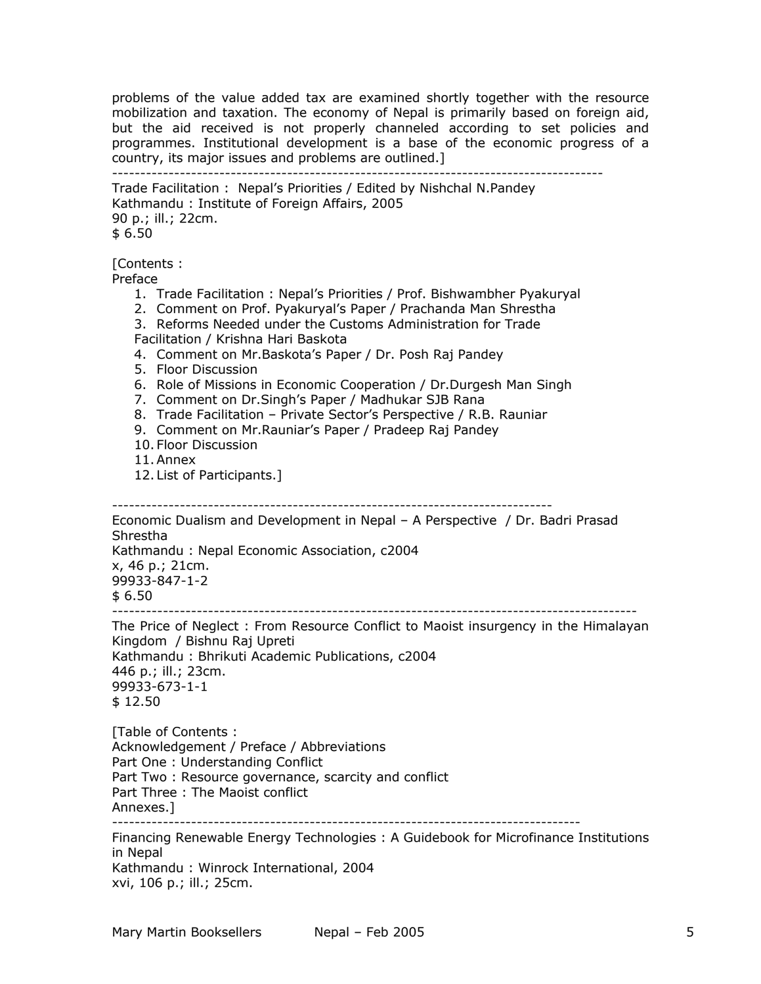problems of the value added tax are examined shortly together with the resource mobilization and taxation. The economy of Nepal is primarily based on foreign aid, but the aid received is not properly channeled according to set policies and programmes. Institutional development is a base of the economic progress of a country, its major issues and problems are outlined.] ---------------------------------------------------------------------------------------

Trade Facilitation : Nepal's Priorities / Edited by Nishchal N.Pandey Kathmandu : Institute of Foreign Affairs, 2005 90 p.; ill.; 22cm. \$ 6.50

[Contents :

Preface

- 1. Trade Facilitation : Nepal's Priorities / Prof. Bishwambher Pyakuryal
- 2. Comment on Prof. Pyakuryal's Paper / Prachanda Man Shrestha
- 3. Reforms Needed under the Customs Administration for Trade Facilitation / Krishna Hari Baskota
- 4. Comment on Mr.Baskota's Paper / Dr. Posh Raj Pandey
- 5. Floor Discussion
- 6. Role of Missions in Economic Cooperation / Dr.Durgesh Man Singh
- 7. Comment on Dr.Singh's Paper / Madhukar SJB Rana
- 8. Trade Facilitation Private Sector's Perspective / R.B. Rauniar
- 9. Comment on Mr.Rauniar's Paper / Pradeep Raj Pandey
- 10. Floor Discussion
- 11.Annex
- 12. List of Participants.]

------------------------------------------------------------------------------

Economic Dualism and Development in Nepal – A Perspective / Dr. Badri Prasad Shrestha Kathmandu : Nepal Economic Association, c2004 x, 46 p.; 21cm. 99933-847-1-2 \$ 6.50 ---------------------------------------------------------------------------------------------

The Price of Neglect : From Resource Conflict to Maoist insurgency in the Himalayan Kingdom / Bishnu Raj Upreti Kathmandu : Bhrikuti Academic Publications, c2004 446 p.; ill.; 23cm. 99933-673-1-1 \$ 12.50

[Table of Contents : Acknowledgement / Preface / Abbreviations Part One : Understanding Conflict Part Two : Resource governance, scarcity and conflict Part Three : The Maoist conflict Annexes.]

-----------------------------------------------------------------------------------

Financing Renewable Energy Technologies : A Guidebook for Microfinance Institutions in Nepal Kathmandu : Winrock International, 2004

xvi, 106 p.; ill.; 25cm.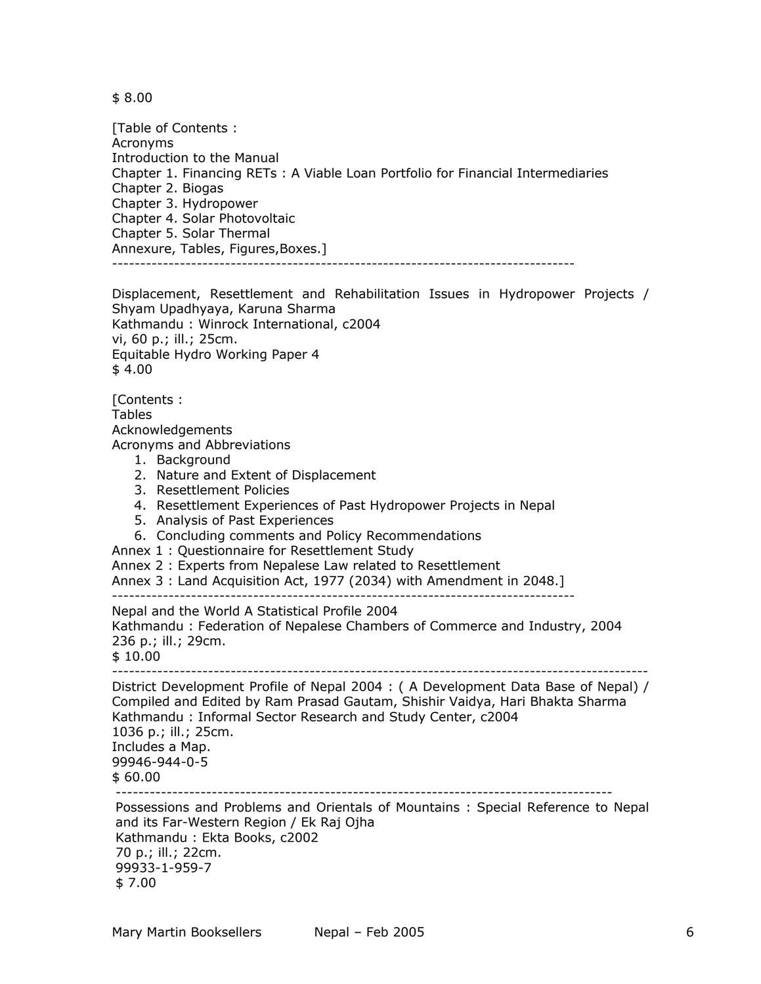\$ 8.00

[Table of Contents : Acronyms Introduction to the Manual Chapter 1. Financing RETs : A Viable Loan Portfolio for Financial Intermediaries Chapter 2. Biogas Chapter 3. Hydropower Chapter 4. Solar Photovoltaic Chapter 5. Solar Thermal Annexure, Tables, Figures,Boxes.] ----------------------------------------------------------------------------------

Displacement, Resettlement and Rehabilitation Issues in Hydropower Projects / Shyam Upadhyaya, Karuna Sharma Kathmandu : Winrock International, c2004 vi, 60 p.; ill.; 25cm. Equitable Hydro Working Paper 4 \$ 4.00

[Contents : Tables Acknowledgements Acronyms and Abbreviations 1. Background 2. Nature and Extent of Displacement 3. Resettlement Policies

- 4. Resettlement Experiences of Past Hydropower Projects in Nepal
- 5. Analysis of Past Experiences
- 6. Concluding comments and Policy Recommendations

Annex 1 : Questionnaire for Resettlement Study

Annex 2 : Experts from Nepalese Law related to Resettlement

Annex 3 : Land Acquisition Act, 1977 (2034) with Amendment in 2048.]

----------------------------------------------------------------------------------

Nepal and the World A Statistical Profile 2004

Kathmandu : Federation of Nepalese Chambers of Commerce and Industry, 2004 236 p.; ill.; 29cm.

\$ 10.00

----------------------------------------------------------------------------------------------- District Development Profile of Nepal 2004 : ( A Development Data Base of Nepal) / Compiled and Edited by Ram Prasad Gautam, Shishir Vaidya, Hari Bhakta Sharma

Kathmandu : Informal Sector Research and Study Center, c2004 1036 p.; ill.; 25cm. Includes a Map. 99946-944-0-5 \$ 60.00 ----------------------------------------------------------------------------------------

Possessions and Problems and Orientals of Mountains : Special Reference to Nepal and its Far-Western Region / Ek Raj Ojha Kathmandu : Ekta Books, c2002 70 p.; ill.; 22cm. 99933-1-959-7 \$ 7.00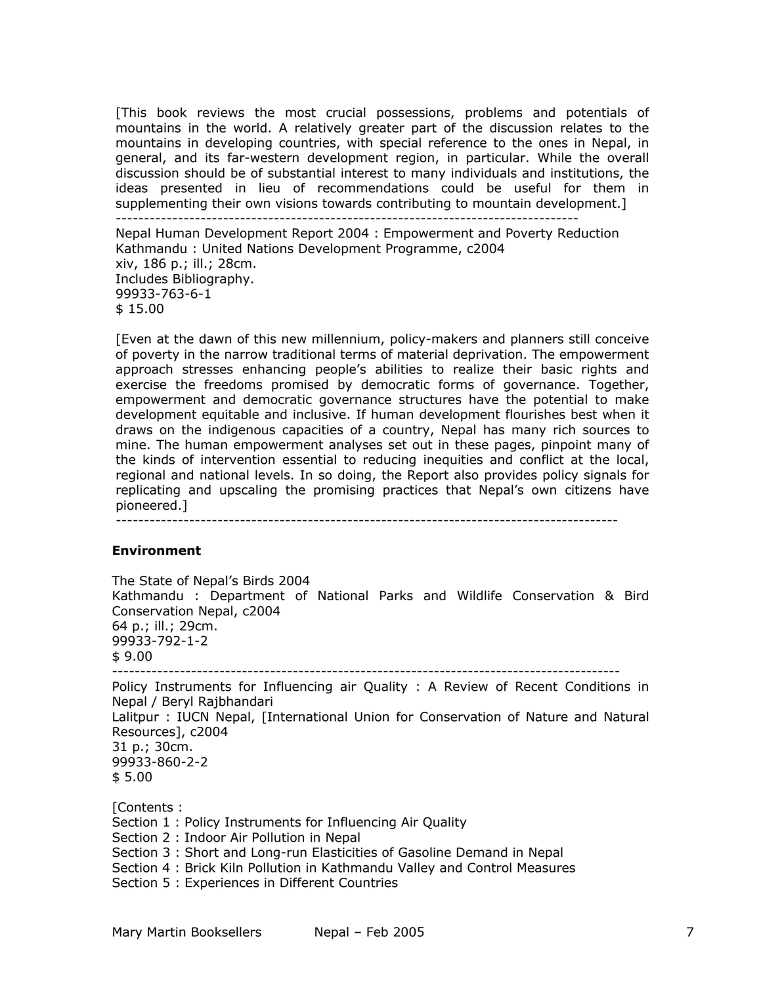[This book reviews the most crucial possessions, problems and potentials of mountains in the world. A relatively greater part of the discussion relates to the mountains in developing countries, with special reference to the ones in Nepal, in general, and its far-western development region, in particular. While the overall discussion should be of substantial interest to many individuals and institutions, the ideas presented in lieu of recommendations could be useful for them in supplementing their own visions towards contributing to mountain development.] ---------------------------------------------------------------------------------- Nepal Human Development Report 2004 : Empowerment and Poverty Reduction Kathmandu : United Nations Development Programme, c2004 xiv, 186 p.; ill.; 28cm. Includes Bibliography. 99933-763-6-1 \$ 15.00

[Even at the dawn of this new millennium, policy-makers and planners still conceive of poverty in the narrow traditional terms of material deprivation. The empowerment approach stresses enhancing people's abilities to realize their basic rights and exercise the freedoms promised by democratic forms of governance. Together, empowerment and democratic governance structures have the potential to make development equitable and inclusive. If human development flourishes best when it draws on the indigenous capacities of a country, Nepal has many rich sources to mine. The human empowerment analyses set out in these pages, pinpoint many of the kinds of intervention essential to reducing inequities and conflict at the local, regional and national levels. In so doing, the Report also provides policy signals for replicating and upscaling the promising practices that Nepal's own citizens have pioneered.]

-----------------------------------------------------------------------------------------

#### **Environment**

The State of Nepal's Birds 2004 Kathmandu : Department of National Parks and Wildlife Conservation & Bird Conservation Nepal, c2004 64 p.; ill.; 29cm. 99933-792-1-2 \$ 9.00 ------------------------------------------------------------------------------------------

Policy Instruments for Influencing air Quality : A Review of Recent Conditions in Nepal / Beryl Rajbhandari Lalitpur : IUCN Nepal, [International Union for Conservation of Nature and Natural Resources], c2004 31 p.; 30cm. 99933-860-2-2 \$ 5.00

[Contents : Section 1 : Policy Instruments for Influencing Air Quality Section 2 : Indoor Air Pollution in Nepal Section 3 : Short and Long-run Elasticities of Gasoline Demand in Nepal Section 4 : Brick Kiln Pollution in Kathmandu Valley and Control Measures Section 5 : Experiences in Different Countries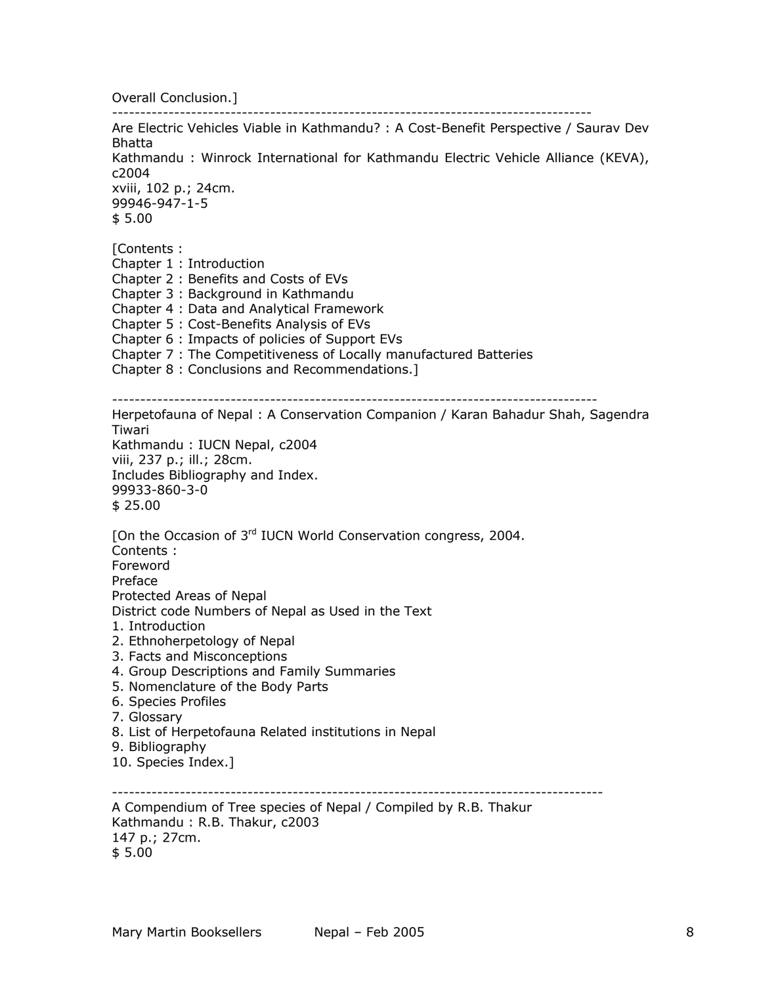Overall Conclusion.]

------------------------------------------------------------------------------------- Are Electric Vehicles Viable in Kathmandu? : A Cost-Benefit Perspective / Saurav Dev Bhatta Kathmandu : Winrock International for Kathmandu Electric Vehicle Alliance (KEVA), c2004 xviii, 102 p.; 24cm. 99946-947-1-5 \$ 5.00 [Contents : Chapter 1 : Introduction Chapter 2 : Benefits and Costs of EVs Chapter 3 : Background in Kathmandu Chapter 4 : Data and Analytical Framework Chapter 5 : Cost-Benefits Analysis of EVs Chapter 6 : Impacts of policies of Support EVs Chapter 7 : The Competitiveness of Locally manufactured Batteries Chapter 8 : Conclusions and Recommendations.] -------------------------------------------------------------------------------------- Herpetofauna of Nepal : A Conservation Companion / Karan Bahadur Shah, Sagendra Tiwari Kathmandu : IUCN Nepal, c2004 viii, 237 p.; ill.; 28cm. Includes Bibliography and Index. 99933-860-3-0 \$ 25.00 [On the Occasion of 3<sup>rd</sup> IUCN World Conservation congress, 2004. Contents : Foreword Preface Protected Areas of Nepal District code Numbers of Nepal as Used in the Text 1. Introduction 2. Ethnoherpetology of Nepal 3. Facts and Misconceptions 4. Group Descriptions and Family Summaries 5. Nomenclature of the Body Parts 6. Species Profiles 7. Glossary 8. List of Herpetofauna Related institutions in Nepal 9. Bibliography 10. Species Index.] --------------------------------------------------------------------------------------- A Compendium of Tree species of Nepal / Compiled by R.B. Thakur Kathmandu : R.B. Thakur, c2003 147 p.; 27cm.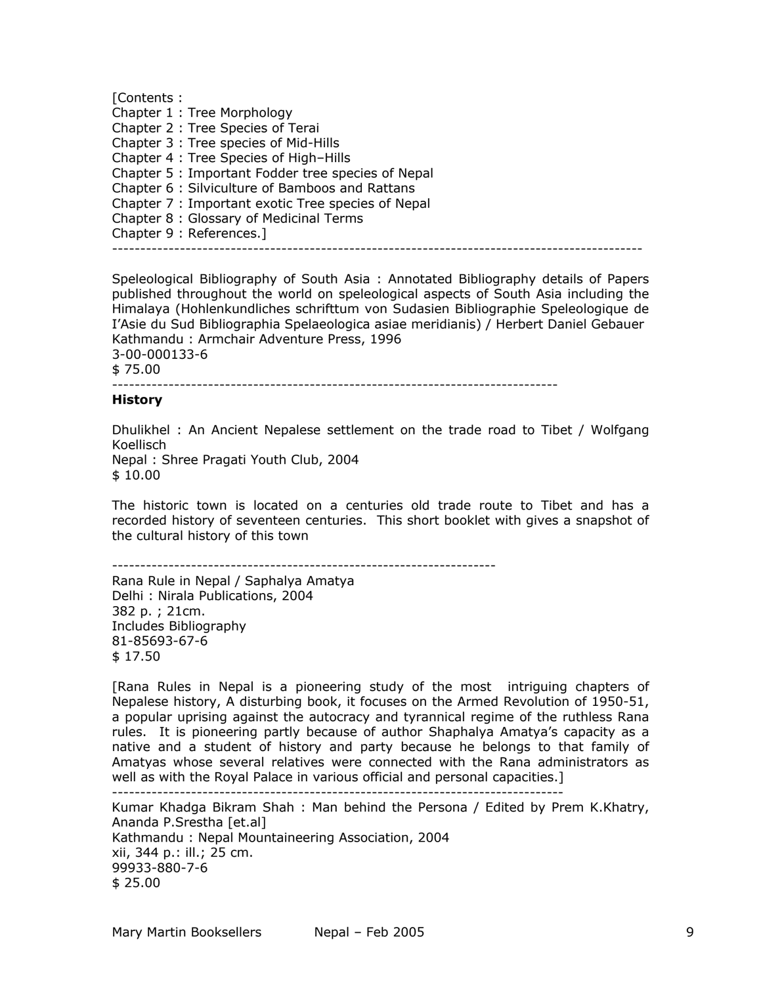[Contents : Chapter 1 : Tree Morphology Chapter 2 : Tree Species of Terai Chapter 3 : Tree species of Mid-Hills Chapter 4 : Tree Species of High–Hills Chapter 5 : Important Fodder tree species of Nepal Chapter 6 : Silviculture of Bamboos and Rattans Chapter 7 : Important exotic Tree species of Nepal Chapter 8 : Glossary of Medicinal Terms Chapter 9 : References.] ----------------------------------------------------------------------------------------------

Speleological Bibliography of South Asia : Annotated Bibliography details of Papers published throughout the world on speleological aspects of South Asia including the Himalaya (Hohlenkundliches schrifttum von Sudasien Bibliographie Speleologique de I'Asie du Sud Bibliographia Spelaeologica asiae meridianis) / Herbert Daniel Gebauer Kathmandu : Armchair Adventure Press, 1996 3-00-000133-6 \$ 75.00

# -------------------------------------------------------------------------------

**History** 

Dhulikhel : An Ancient Nepalese settlement on the trade road to Tibet / Wolfgang Koellisch Nepal : Shree Pragati Youth Club, 2004 \$ 10.00

The historic town is located on a centuries old trade route to Tibet and has a recorded history of seventeen centuries. This short booklet with gives a snapshot of the cultural history of this town

--------------------------------------------------------------------

Rana Rule in Nepal / Saphalya Amatya Delhi : Nirala Publications, 2004 382 p. ; 21cm. Includes Bibliography 81-85693-67-6 \$ 17.50

[Rana Rules in Nepal is a pioneering study of the most intriguing chapters of Nepalese history, A disturbing book, it focuses on the Armed Revolution of 1950-51, a popular uprising against the autocracy and tyrannical regime of the ruthless Rana rules. It is pioneering partly because of author Shaphalya Amatya's capacity as a native and a student of history and party because he belongs to that family of Amatyas whose several relatives were connected with the Rana administrators as well as with the Royal Palace in various official and personal capacities.]

--------------------------------------------------------------------------------

Kumar Khadga Bikram Shah : Man behind the Persona / Edited by Prem K.Khatry, Ananda P.Srestha [et.al] Kathmandu : Nepal Mountaineering Association, 2004 xii, 344 p.: ill.; 25 cm. 99933-880-7-6 \$ 25.00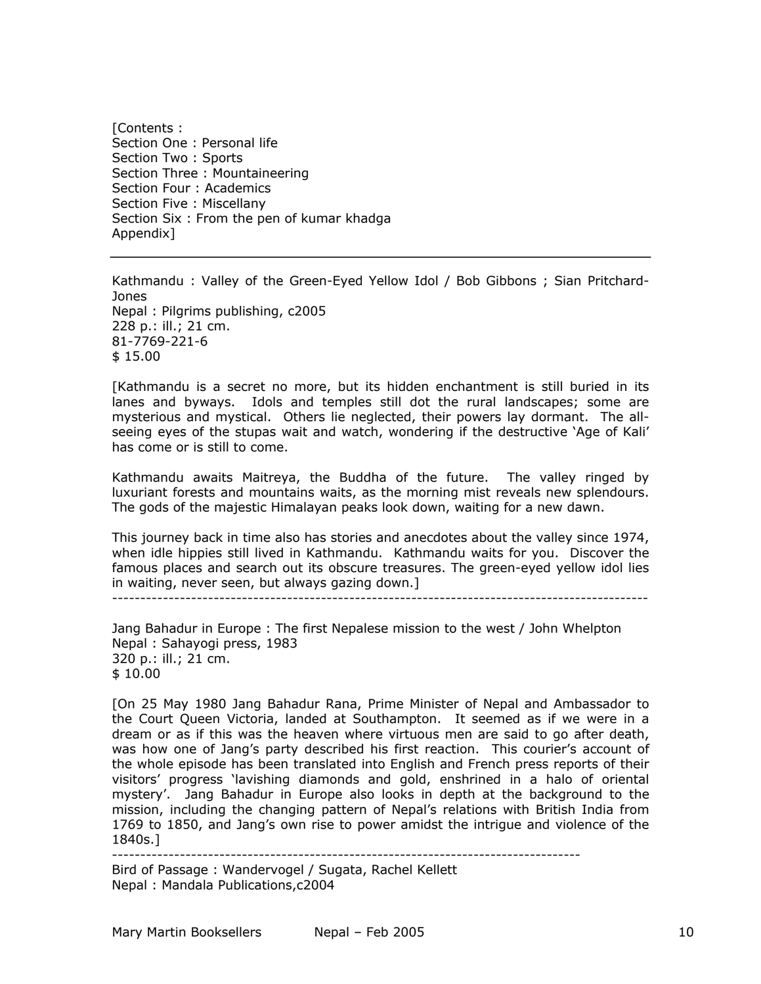[Contents : Section One : Personal life Section Two : Sports Section Three : Mountaineering Section Four : Academics Section Five : Miscellany Section Six : From the pen of kumar khadga Appendix]

Kathmandu : Valley of the Green-Eyed Yellow Idol / Bob Gibbons ; Sian Pritchard-Jones Nepal : Pilgrims publishing, c2005 228 p.: ill.; 21 cm. 81-7769-221-6 \$ 15.00

[Kathmandu is a secret no more, but its hidden enchantment is still buried in its lanes and byways. Idols and temples still dot the rural landscapes; some are mysterious and mystical. Others lie neglected, their powers lay dormant. The allseeing eyes of the stupas wait and watch, wondering if the destructive 'Age of Kali' has come or is still to come.

Kathmandu awaits Maitreya, the Buddha of the future. The valley ringed by luxuriant forests and mountains waits, as the morning mist reveals new splendours. The gods of the majestic Himalayan peaks look down, waiting for a new dawn.

This journey back in time also has stories and anecdotes about the valley since 1974, when idle hippies still lived in Kathmandu. Kathmandu waits for you. Discover the famous places and search out its obscure treasures. The green-eyed yellow idol lies in waiting, never seen, but always gazing down.]

-----------------------------------------------------------------------------------------------

Jang Bahadur in Europe : The first Nepalese mission to the west / John Whelpton Nepal : Sahayogi press, 1983 320 p.: ill.; 21 cm. \$ 10.00

[On 25 May 1980 Jang Bahadur Rana, Prime Minister of Nepal and Ambassador to the Court Queen Victoria, landed at Southampton. It seemed as if we were in a dream or as if this was the heaven where virtuous men are said to go after death, was how one of Jang's party described his first reaction. This courier's account of the whole episode has been translated into English and French press reports of their visitors' progress 'lavishing diamonds and gold, enshrined in a halo of oriental mystery'. Jang Bahadur in Europe also looks in depth at the background to the mission, including the changing pattern of Nepal's relations with British India from 1769 to 1850, and Jang's own rise to power amidst the intrigue and violence of the 1840s.]

-----------------------------------------------------------------------------------

Bird of Passage : Wandervogel / Sugata, Rachel Kellett Nepal : Mandala Publications,c2004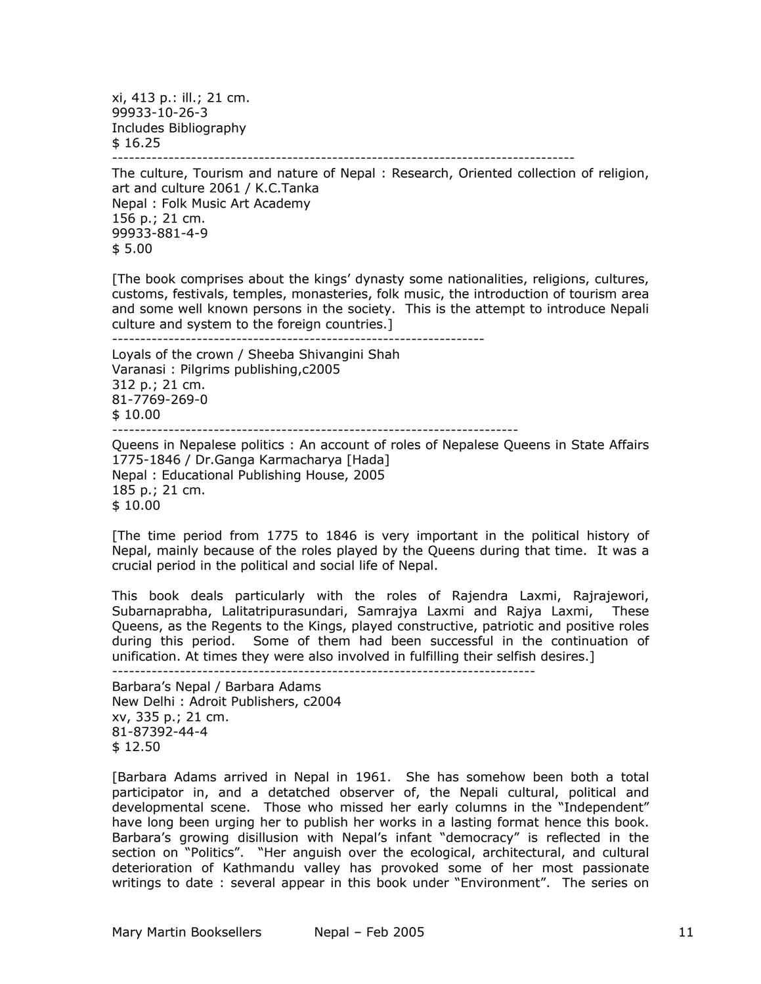xi, 413 p.: ill.; 21 cm. 99933-10-26-3 Includes Bibliography \$ 16.25 ----------------------------------------------------------------------------------

The culture, Tourism and nature of Nepal : Research, Oriented collection of religion, art and culture 2061 / K.C.Tanka Nepal : Folk Music Art Academy 156 p.; 21 cm. 99933-881-4-9 \$ 5.00

[The book comprises about the kings' dynasty some nationalities, religions, cultures, customs, festivals, temples, monasteries, folk music, the introduction of tourism area and some well known persons in the society. This is the attempt to introduce Nepali culture and system to the foreign countries.]

------------------------------------------------------------------

Loyals of the crown / Sheeba Shivangini Shah Varanasi : Pilgrims publishing,c2005 312 p.; 21 cm. 81-7769-269-0 \$ 10.00 ------------------------------------------------------------------------

Queens in Nepalese politics : An account of roles of Nepalese Queens in State Affairs 1775-1846 / Dr.Ganga Karmacharya [Hada] Nepal : Educational Publishing House, 2005 185 p.; 21 cm. \$ 10.00

[The time period from 1775 to 1846 is very important in the political history of Nepal, mainly because of the roles played by the Queens during that time. It was a crucial period in the political and social life of Nepal.

This book deals particularly with the roles of Rajendra Laxmi, Rajrajewori, Subarnaprabha, Lalitatripurasundari, Samrajya Laxmi and Rajya Laxmi, These Queens, as the Regents to the Kings, played constructive, patriotic and positive roles during this period. Some of them had been successful in the continuation of unification. At times they were also involved in fulfilling their selfish desires.]

---------------------------------------------------------------------------

Barbara's Nepal / Barbara Adams New Delhi : Adroit Publishers, c2004 xv, 335 p.; 21 cm. 81-87392-44-4 \$ 12.50

[Barbara Adams arrived in Nepal in 1961. She has somehow been both a total participator in, and a detatched observer of, the Nepali cultural, political and developmental scene. Those who missed her early columns in the "Independent" have long been urging her to publish her works in a lasting format hence this book. Barbara's growing disillusion with Nepal's infant "democracy" is reflected in the section on "Politics". "Her anguish over the ecological, architectural, and cultural deterioration of Kathmandu valley has provoked some of her most passionate writings to date : several appear in this book under "Environment". The series on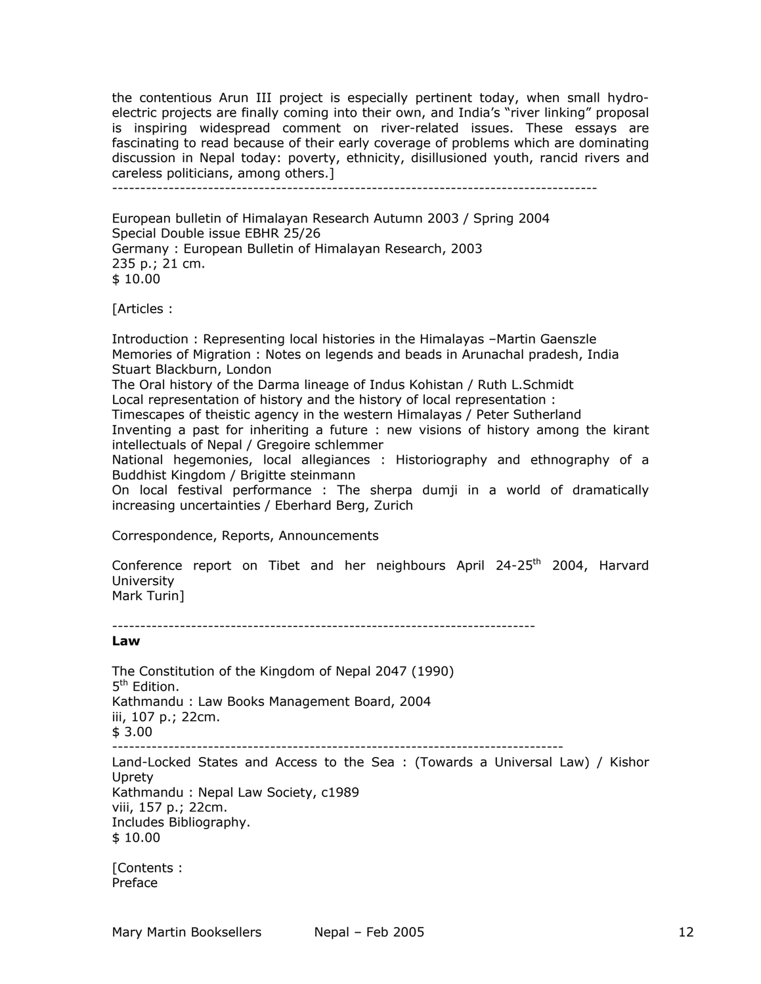the contentious Arun III project is especially pertinent today, when small hydroelectric projects are finally coming into their own, and India's "river linking" proposal is inspiring widespread comment on river-related issues. These essays are fascinating to read because of their early coverage of problems which are dominating discussion in Nepal today: poverty, ethnicity, disillusioned youth, rancid rivers and careless politicians, among others.]

--------------------------------------------------------------------------------------

European bulletin of Himalayan Research Autumn 2003 / Spring 2004 Special Double issue EBHR 25/26 Germany : European Bulletin of Himalayan Research, 2003 235 p.; 21 cm. \$ 10.00

[Articles :

Introduction : Representing local histories in the Himalayas –Martin Gaenszle Memories of Migration : Notes on legends and beads in Arunachal pradesh, India Stuart Blackburn, London The Oral history of the Darma lineage of Indus Kohistan / Ruth L.Schmidt Local representation of history and the history of local representation : Timescapes of theistic agency in the western Himalayas / Peter Sutherland Inventing a past for inheriting a future : new visions of history among the kirant intellectuals of Nepal / Gregoire schlemmer National hegemonies, local allegiances : Historiography and ethnography of a Buddhist Kingdom / Brigitte steinmann On local festival performance : The sherpa dumji in a world of dramatically increasing uncertainties / Eberhard Berg, Zurich

Correspondence, Reports, Announcements

Conference report on Tibet and her neighbours April 24-25<sup>th</sup> 2004, Harvard University Mark Turin]

---------------------------------------------------------------------------

## **Law**

The Constitution of the Kingdom of Nepal 2047 (1990) 5<sup>th</sup> Edition. Kathmandu : Law Books Management Board, 2004 iii, 107 p.; 22cm. \$ 3.00 -------------------------------------------------------------------------------- Land-Locked States and Access to the Sea : (Towards a Universal Law) / Kishor **Uprety** Kathmandu : Nepal Law Society, c1989 viii, 157 p.; 22cm. Includes Bibliography. \$ 10.00 [Contents :

Preface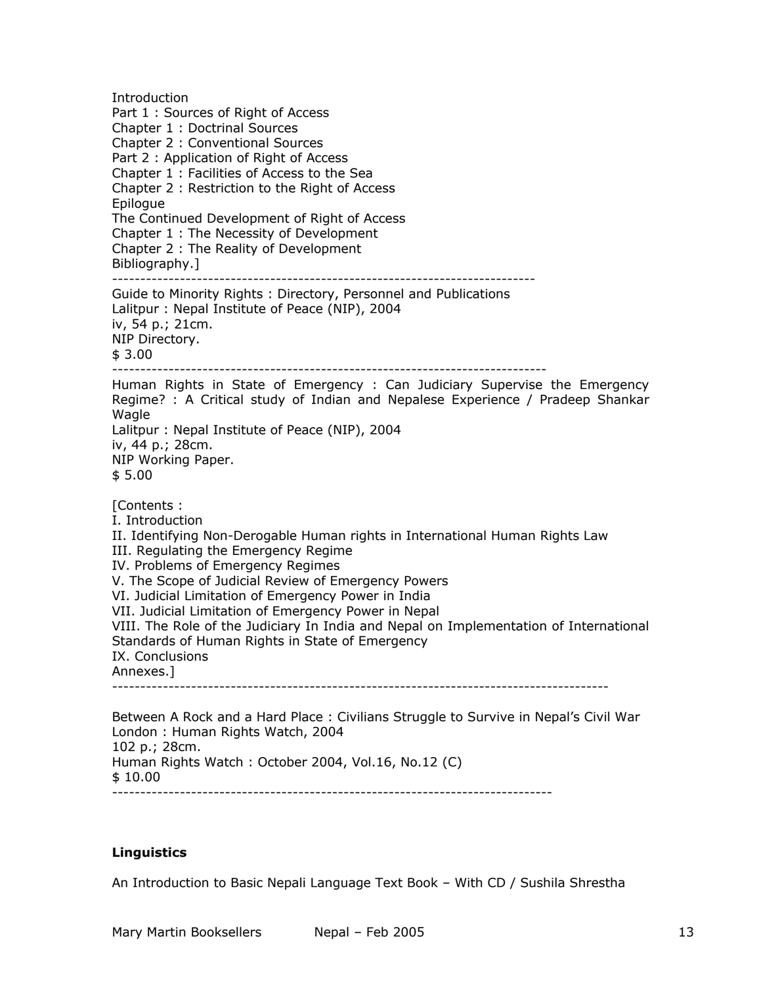Introduction Part 1 : Sources of Right of Access Chapter 1 : Doctrinal Sources Chapter 2 : Conventional Sources Part 2 : Application of Right of Access Chapter 1 : Facilities of Access to the Sea Chapter 2 : Restriction to the Right of Access **Epilogue** The Continued Development of Right of Access Chapter 1 : The Necessity of Development Chapter 2 : The Reality of Development Bibliography.] --------------------------------------------------------------------------- Guide to Minority Rights : Directory, Personnel and Publications Lalitpur : Nepal Institute of Peace (NIP), 2004 iv, 54 p.; 21cm. NIP Directory. \$ 3.00 ----------------------------------------------------------------------------- Human Rights in State of Emergency : Can Judiciary Supervise the Emergency Regime? : A Critical study of Indian and Nepalese Experience / Pradeep Shankar Wagle Lalitpur : Nepal Institute of Peace (NIP), 2004 iv, 44 p.; 28cm. NIP Working Paper. \$ 5.00 [Contents : I. Introduction II. Identifying Non-Derogable Human rights in International Human Rights Law III. Regulating the Emergency Regime IV. Problems of Emergency Regimes V. The Scope of Judicial Review of Emergency Powers VI. Judicial Limitation of Emergency Power in India VII. Judicial Limitation of Emergency Power in Nepal VIII. The Role of the Judiciary In India and Nepal on Implementation of International Standards of Human Rights in State of Emergency IX. Conclusions Annexes.] ---------------------------------------------------------------------------------------- Between A Rock and a Hard Place : Civilians Struggle to Survive in Nepal's Civil War London : Human Rights Watch, 2004 102 p.; 28cm. Human Rights Watch : October 2004, Vol.16, No.12 (C) \$ 10.00

------------------------------------------------------------------------------

## **Linguistics**

An Introduction to Basic Nepali Language Text Book – With CD / Sushila Shrestha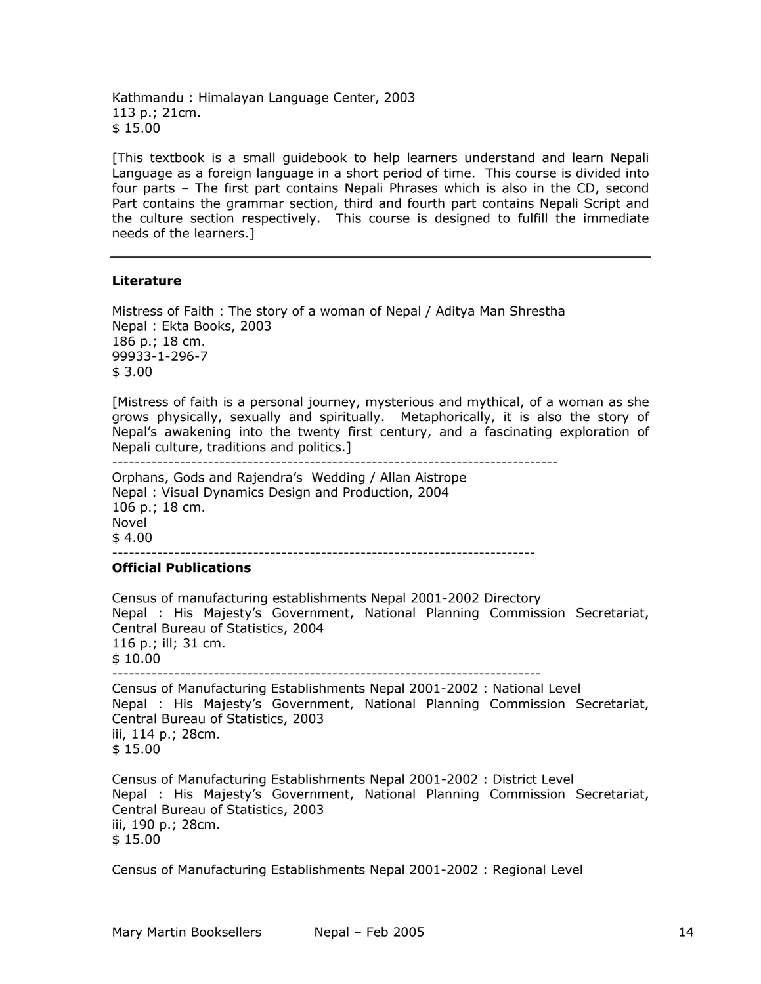Kathmandu : Himalayan Language Center, 2003 113 p.; 21cm. \$ 15.00

[This textbook is a small guidebook to help learners understand and learn Nepali Language as a foreign language in a short period of time. This course is divided into four parts – The first part contains Nepali Phrases which is also in the CD, second Part contains the grammar section, third and fourth part contains Nepali Script and the culture section respectively. This course is designed to fulfill the immediate needs of the learners.]

### **Literature**

Mistress of Faith : The story of a woman of Nepal / Aditya Man Shrestha Nepal : Ekta Books, 2003 186 p.; 18 cm. 99933-1-296-7 \$ 3.00

[Mistress of faith is a personal journey, mysterious and mythical, of a woman as she grows physically, sexually and spiritually. Metaphorically, it is also the story of Nepal's awakening into the twenty first century, and a fascinating exploration of Nepali culture, traditions and politics.]

-------------------------------------------------------------------------------

Orphans, Gods and Rajendra's Wedding / Allan Aistrope Nepal : Visual Dynamics Design and Production, 2004 106 p.; 18 cm. Novel  $$4.00$ ---------------------------------------------------------------------------

#### **Official Publications**

Census of manufacturing establishments Nepal 2001-2002 Directory Nepal : His Majesty's Government, National Planning Commission Secretariat, Central Bureau of Statistics, 2004 116 p.; ill; 31 cm. \$ 10.00 ----------------------------------------------------------------------------

Census of Manufacturing Establishments Nepal 2001-2002 : National Level Nepal : His Majesty's Government, National Planning Commission Secretariat, Central Bureau of Statistics, 2003 iii, 114 p.; 28cm. \$ 15.00

Census of Manufacturing Establishments Nepal 2001-2002 : District Level Nepal : His Majesty's Government, National Planning Commission Secretariat, Central Bureau of Statistics, 2003 iii, 190 p.; 28cm. \$ 15.00

Census of Manufacturing Establishments Nepal 2001-2002 : Regional Level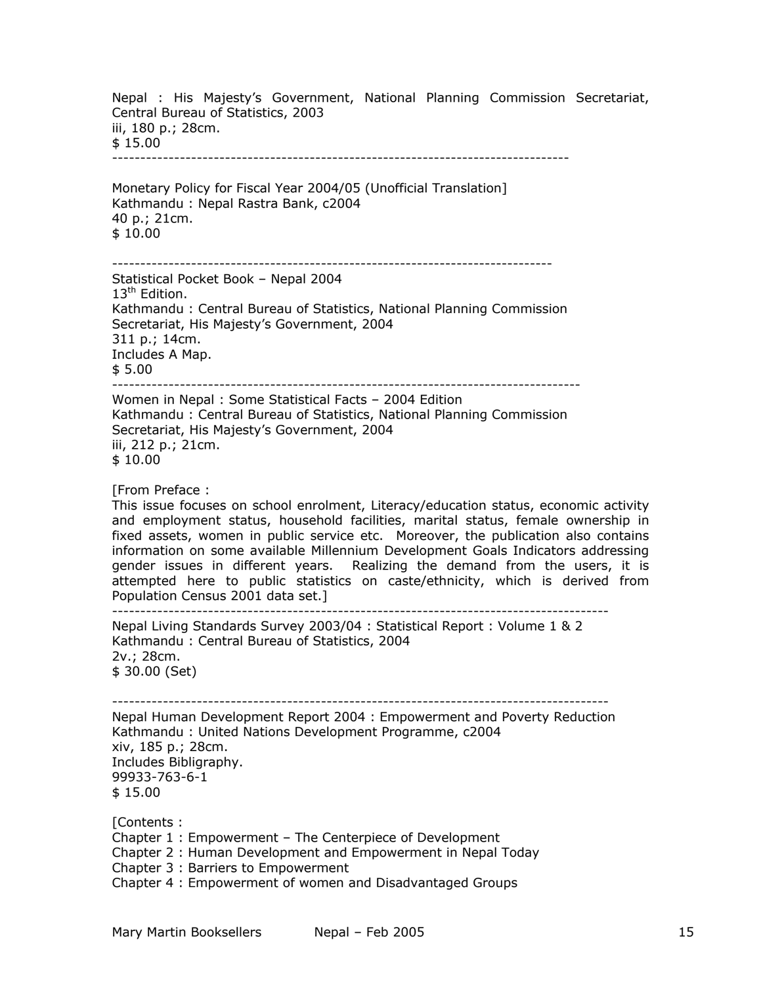Nepal : His Majesty's Government, National Planning Commission Secretariat, Central Bureau of Statistics, 2003 iii, 180 p.; 28cm. \$ 15.00 --------------------------------------------------------------------------------- Monetary Policy for Fiscal Year 2004/05 (Unofficial Translation]

Kathmandu : Nepal Rastra Bank, c2004 40 p.; 21cm. \$ 10.00

------------------------------------------------------------------------------

Statistical Pocket Book – Nepal 2004 13<sup>th</sup> Edition. Kathmandu : Central Bureau of Statistics, National Planning Commission Secretariat, His Majesty's Government, 2004 311 p.; 14cm. Includes A Map. \$ 5.00

----------------------------------------------------------------------------------- Women in Nepal : Some Statistical Facts – 2004 Edition

Kathmandu : Central Bureau of Statistics, National Planning Commission Secretariat, His Majesty's Government, 2004 iii, 212 p.; 21cm. \$ 10.00

[From Preface :

This issue focuses on school enrolment, Literacy/education status, economic activity and employment status, household facilities, marital status, female ownership in fixed assets, women in public service etc. Moreover, the publication also contains information on some available Millennium Development Goals Indicators addressing gender issues in different years. Realizing the demand from the users, it is attempted here to public statistics on caste/ethnicity, which is derived from Population Census 2001 data set.]

----------------------------------------------------------------------------------------

Nepal Living Standards Survey 2003/04 : Statistical Report : Volume 1 & 2 Kathmandu : Central Bureau of Statistics, 2004 2v.; 28cm. \$ 30.00 (Set)

---------------------------------------------------------------------------------------- Nepal Human Development Report 2004 : Empowerment and Poverty Reduction Kathmandu : United Nations Development Programme, c2004 xiv, 185 p.; 28cm. Includes Bibligraphy. 99933-763-6-1 \$ 15.00

[Contents :

Chapter 1 : Empowerment – The Centerpiece of Development

Chapter 2 : Human Development and Empowerment in Nepal Today

Chapter 3 : Barriers to Empowerment

Chapter 4 : Empowerment of women and Disadvantaged Groups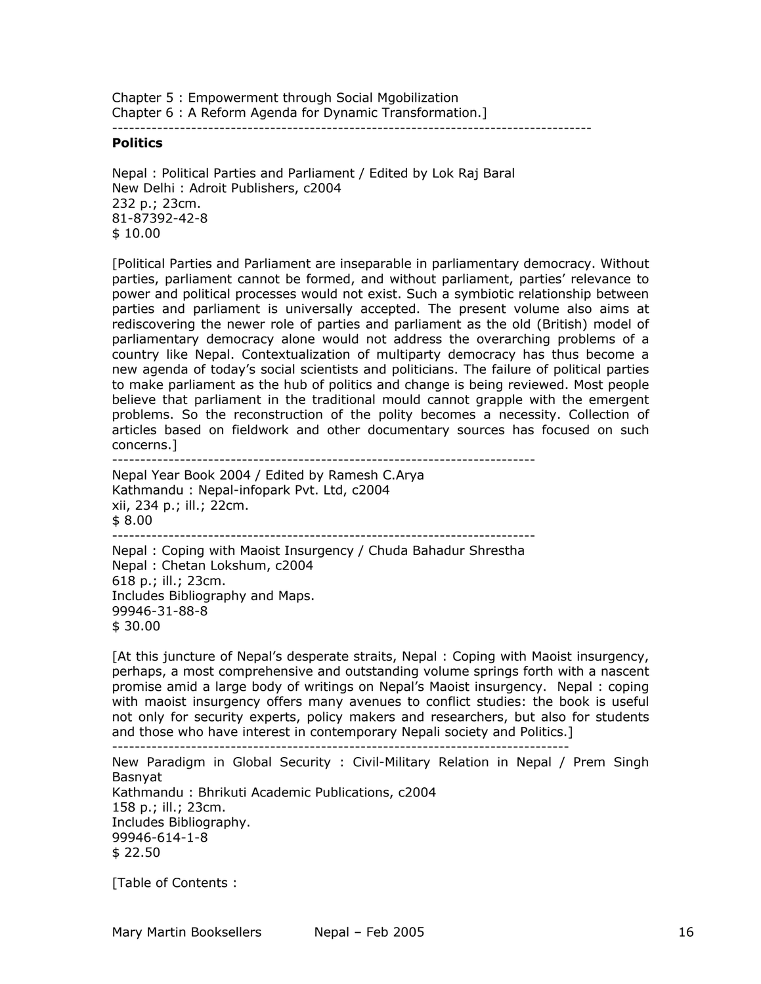Chapter 5 : Empowerment through Social Mgobilization Chapter 6 : A Reform Agenda for Dynamic Transformation.]

-------------------------------------------------------------------------------------

### **Politics**

Nepal : Political Parties and Parliament / Edited by Lok Raj Baral New Delhi : Adroit Publishers, c2004 232 p.; 23cm. 81-87392-42-8 \$ 10.00

[Political Parties and Parliament are inseparable in parliamentary democracy. Without parties, parliament cannot be formed, and without parliament, parties' relevance to power and political processes would not exist. Such a symbiotic relationship between parties and parliament is universally accepted. The present volume also aims at rediscovering the newer role of parties and parliament as the old (British) model of parliamentary democracy alone would not address the overarching problems of a country like Nepal. Contextualization of multiparty democracy has thus become a new agenda of today's social scientists and politicians. The failure of political parties to make parliament as the hub of politics and change is being reviewed. Most people believe that parliament in the traditional mould cannot grapple with the emergent problems. So the reconstruction of the polity becomes a necessity. Collection of articles based on fieldwork and other documentary sources has focused on such concerns.]

---------------------------------------------------------------------------

Nepal Year Book 2004 / Edited by Ramesh C.Arya Kathmandu : Nepal-infopark Pvt. Ltd, c2004 xii, 234 p.; ill.; 22cm. \$ 8.00 --------------------------------------------------------------------------- Nepal : Coping with Maoist Insurgency / Chuda Bahadur Shrestha Nepal : Chetan Lokshum, c2004 618 p.; ill.; 23cm. Includes Bibliography and Maps.

[At this juncture of Nepal's desperate straits, Nepal : Coping with Maoist insurgency, perhaps, a most comprehensive and outstanding volume springs forth with a nascent promise amid a large body of writings on Nepal's Maoist insurgency. Nepal : coping with maoist insurgency offers many avenues to conflict studies: the book is useful not only for security experts, policy makers and researchers, but also for students and those who have interest in contemporary Nepali society and Politics.] ---------------------------------------------------------------------------------

New Paradigm in Global Security : Civil-Military Relation in Nepal / Prem Singh

Basnyat Kathmandu : Bhrikuti Academic Publications, c2004 158 p.; ill.; 23cm. Includes Bibliography. 99946-614-1-8 \$ 22.50

[Table of Contents :

99946-31-88-8

\$ 30.00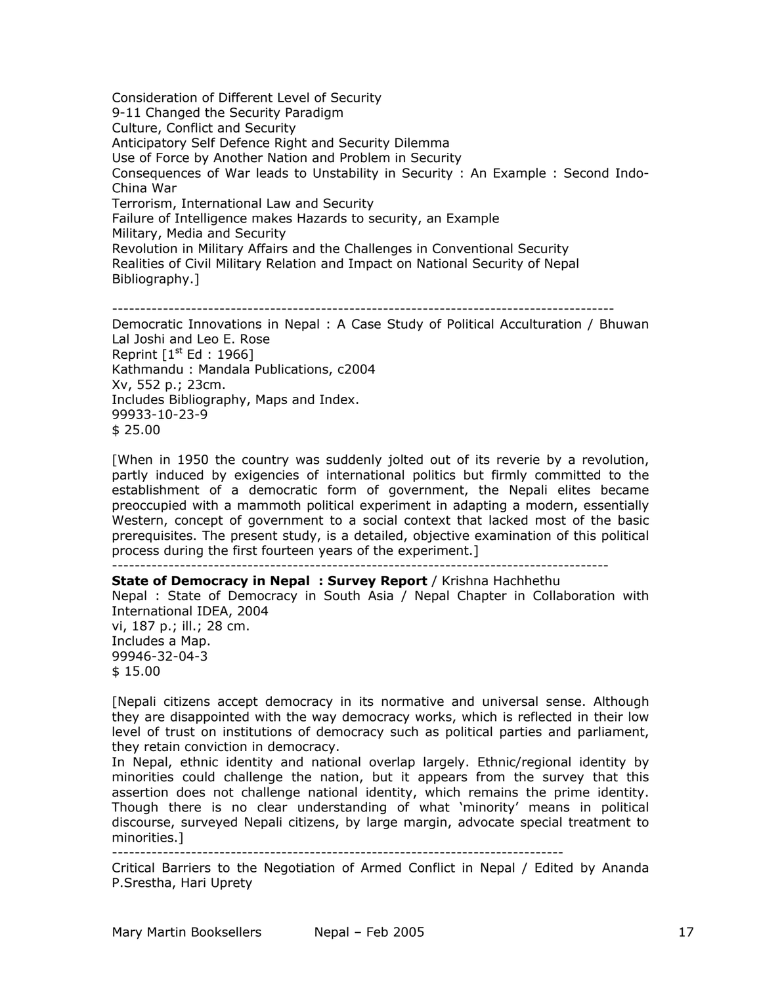Consideration of Different Level of Security 9-11 Changed the Security Paradigm Culture, Conflict and Security Anticipatory Self Defence Right and Security Dilemma Use of Force by Another Nation and Problem in Security Consequences of War leads to Unstability in Security : An Example : Second Indo-China War Terrorism, International Law and Security Failure of Intelligence makes Hazards to security, an Example Military, Media and Security Revolution in Military Affairs and the Challenges in Conventional Security Realities of Civil Military Relation and Impact on National Security of Nepal Bibliography.]

-----------------------------------------------------------------------------------------

Democratic Innovations in Nepal : A Case Study of Political Acculturation / Bhuwan Lal Joshi and Leo E. Rose Reprint  $[1<sup>st</sup> Ed : 1966]$ Kathmandu : Mandala Publications, c2004 Xv, 552 p.; 23cm. Includes Bibliography, Maps and Index. 99933-10-23-9 \$ 25.00

[When in 1950 the country was suddenly jolted out of its reverie by a revolution, partly induced by exigencies of international politics but firmly committed to the establishment of a democratic form of government, the Nepali elites became preoccupied with a mammoth political experiment in adapting a modern, essentially Western, concept of government to a social context that lacked most of the basic prerequisites. The present study, is a detailed, objective examination of this political process during the first fourteen years of the experiment.]

----------------------------------------------------------------------------------------

**State of Democracy in Nepal : Survey Report** / Krishna Hachhethu Nepal : State of Democracy in South Asia / Nepal Chapter in Collaboration with International IDEA, 2004 vi, 187 p.; ill.; 28 cm. Includes a Map. 99946-32-04-3 \$ 15.00

[Nepali citizens accept democracy in its normative and universal sense. Although they are disappointed with the way democracy works, which is reflected in their low level of trust on institutions of democracy such as political parties and parliament, they retain conviction in democracy.

In Nepal, ethnic identity and national overlap largely. Ethnic/regional identity by minorities could challenge the nation, but it appears from the survey that this assertion does not challenge national identity, which remains the prime identity. Though there is no clear understanding of what 'minority' means in political discourse, surveyed Nepali citizens, by large margin, advocate special treatment to minorities.]<br>---------------

--------------------------------------------------------------------------------

Critical Barriers to the Negotiation of Armed Conflict in Nepal / Edited by Ananda P.Srestha, Hari Uprety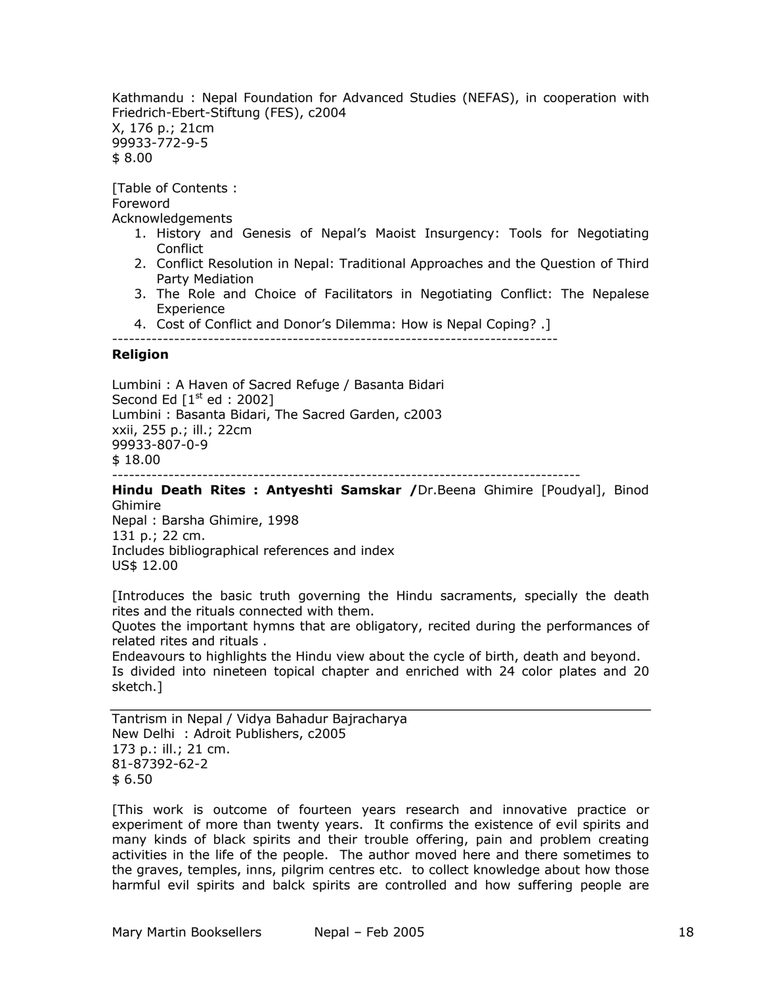Kathmandu : Nepal Foundation for Advanced Studies (NEFAS), in cooperation with Friedrich-Ebert-Stiftung (FES), c2004 X, 176 p.; 21cm 99933-772-9-5 \$ 8.00

[Table of Contents : Foreword Acknowledgements

- 1. History and Genesis of Nepal's Maoist Insurgency: Tools for Negotiating **Conflict**
- 2. Conflict Resolution in Nepal: Traditional Approaches and the Question of Third Party Mediation
- 3. The Role and Choice of Facilitators in Negotiating Conflict: The Nepalese Experience
- 4. Cost of Conflict and Donor's Dilemma: How is Nepal Coping? .]

-------------------------------------------------------------------------------

### **Religion**

Lumbini : A Haven of Sacred Refuge / Basanta Bidari Second Ed  $[1<sup>st</sup>$  ed : 2002] Lumbini : Basanta Bidari, The Sacred Garden, c2003 xxii, 255 p.; ill.; 22cm 99933-807-0-9 \$ 18.00 -----------------------------------------------------------------------------------

**Hindu Death Rites : Antyeshti Samskar /**Dr.Beena Ghimire [Poudyal], Binod Ghimire

Nepal : Barsha Ghimire, 1998 131 p.; 22 cm. Includes bibliographical references and index US\$ 12.00

[Introduces the basic truth governing the Hindu sacraments, specially the death rites and the rituals connected with them.

Quotes the important hymns that are obligatory, recited during the performances of related rites and rituals .

Endeavours to highlights the Hindu view about the cycle of birth, death and beyond. Is divided into nineteen topical chapter and enriched with 24 color plates and 20 sketch.]

Tantrism in Nepal / Vidya Bahadur Bajracharya New Delhi : Adroit Publishers, c2005 173 p.: ill.; 21 cm. 81-87392-62-2 \$ 6.50

[This work is outcome of fourteen years research and innovative practice or experiment of more than twenty years. It confirms the existence of evil spirits and many kinds of black spirits and their trouble offering, pain and problem creating activities in the life of the people. The author moved here and there sometimes to the graves, temples, inns, pilgrim centres etc. to collect knowledge about how those harmful evil spirits and balck spirits are controlled and how suffering people are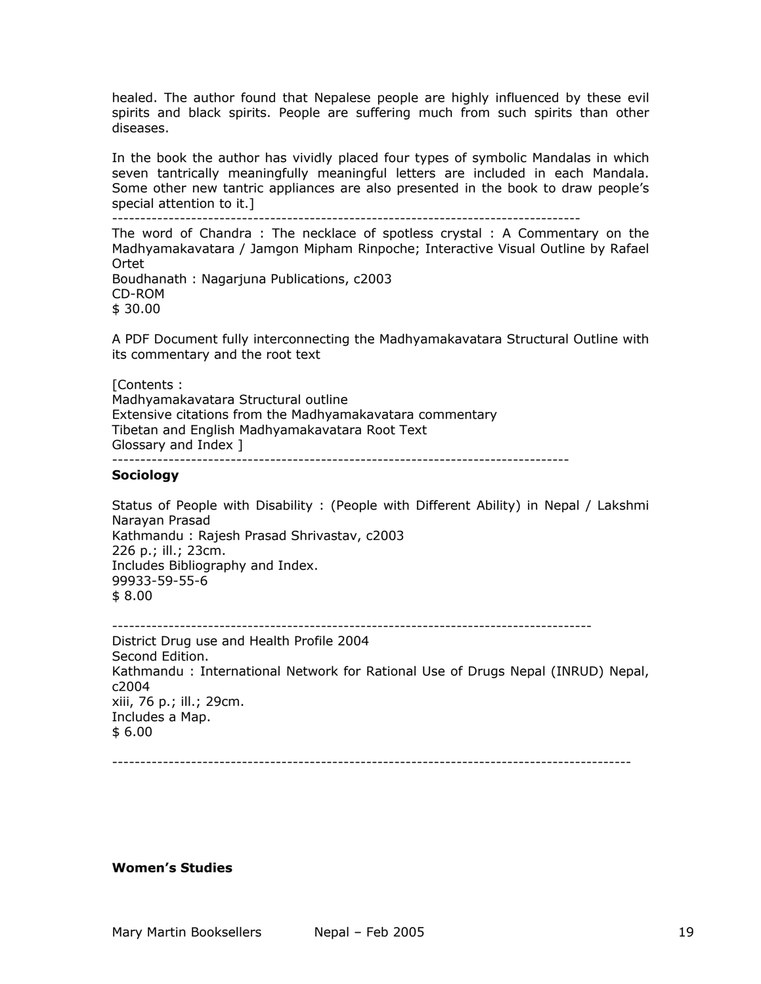healed. The author found that Nepalese people are highly influenced by these evil spirits and black spirits. People are suffering much from such spirits than other diseases.

In the book the author has vividly placed four types of symbolic Mandalas in which seven tantrically meaningfully meaningful letters are included in each Mandala. Some other new tantric appliances are also presented in the book to draw people's special attention to it.]

-----------------------------------------------------------------------------------

The word of Chandra : The necklace of spotless crystal : A Commentary on the Madhyamakavatara / Jamgon Mipham Rinpoche; Interactive Visual Outline by Rafael Ortet Boudhanath : Nagarjuna Publications, c2003

CD-ROM \$ 30.00

A PDF Document fully interconnecting the Madhyamakavatara Structural Outline with its commentary and the root text

[Contents : Madhyamakavatara Structural outline Extensive citations from the Madhyamakavatara commentary Tibetan and English Madhyamakavatara Root Text Glossary and Index ] ---------------------------------------------------------------------------------

## **Sociology**

Status of People with Disability : (People with Different Ability) in Nepal / Lakshmi Narayan Prasad Kathmandu : Rajesh Prasad Shrivastav, c2003 226 p.; ill.; 23cm. Includes Bibliography and Index. 99933-59-55-6 \$ 8.00

```
-------------------------------------------------------------------------------------
```
District Drug use and Health Profile 2004 Second Edition. Kathmandu : International Network for Rational Use of Drugs Nepal (INRUD) Nepal, c2004 xiii, 76 p.; ill.; 29cm. Includes a Map. \$ 6.00

--------------------------------------------------------------------------------------------

## **Women's Studies**